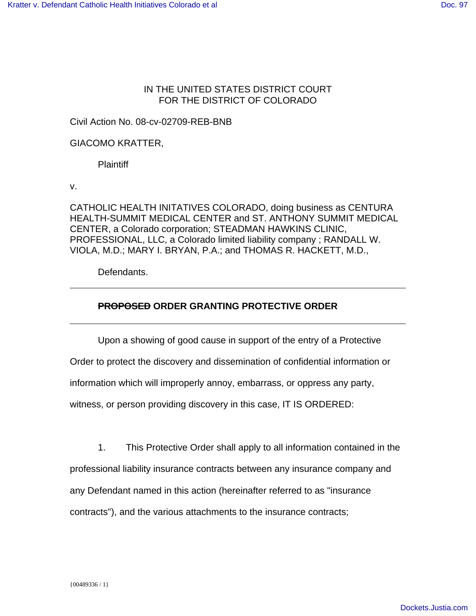## IN THE UNITED STATES DISTRICT COURT FOR THE DISTRICT OF COLORADO

Civil Action No. 08-cv-02709-REB-BNB

GIACOMO KRATTER,

Plaintiff

v.

CATHOLIC HEALTH INITATIVES COLORADO, doing business as CENTURA HEALTH-SUMMIT MEDICAL CENTER and ST. ANTHONY SUMMIT MEDICAL CENTER, a Colorado corporation; STEADMAN HAWKINS CLINIC, PROFESSIONAL, LLC, a Colorado limited liability company ; RANDALL W. VIOLA, M.D.; MARY I. BRYAN, P.A.; and THOMAS R. HACKETT, M.D.,

Defendants.

## **PROPOSED ORDER GRANTING PROTECTIVE ORDER**

Upon a showing of good cause in support of the entry of a Protective

Order to protect the discovery and dissemination of confidential information or

information which will improperly annoy, embarrass, or oppress any party,

witness, or person providing discovery in this case, IT IS ORDERED:

1. This Protective Order shall apply to all information contained in the

professional liability insurance contracts between any insurance company and

any Defendant named in this action (hereinafter referred to as "insurance

contracts"), and the various attachments to the insurance contracts;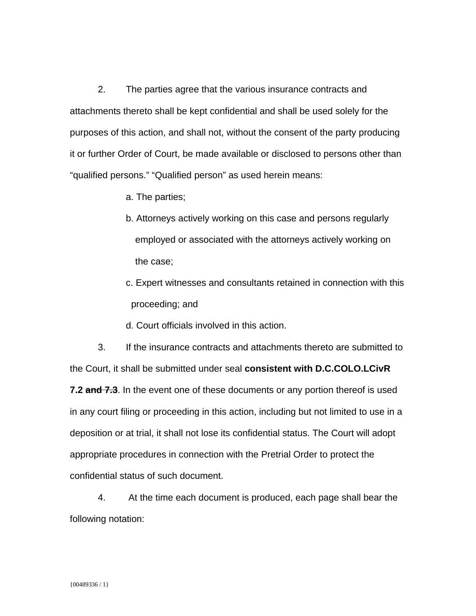2. The parties agree that the various insurance contracts and attachments thereto shall be kept confidential and shall be used solely for the purposes of this action, and shall not, without the consent of the party producing it or further Order of Court, be made available or disclosed to persons other than "qualified persons." "Qualified person" as used herein means:

- a. The parties;
- b. Attorneys actively working on this case and persons regularly employed or associated with the attorneys actively working on the case;
- c. Expert witnesses and consultants retained in connection with this proceeding; and
- d. Court officials involved in this action.

3. If the insurance contracts and attachments thereto are submitted to the Court, it shall be submitted under seal **consistent with D.C.COLO.LCivR 7.2 and 7.3**. In the event one of these documents or any portion thereof is used in any court filing or proceeding in this action, including but not limited to use in a deposition or at trial, it shall not lose its confidential status. The Court will adopt appropriate procedures in connection with the Pretrial Order to protect the confidential status of such document.

4. At the time each document is produced, each page shall bear the following notation: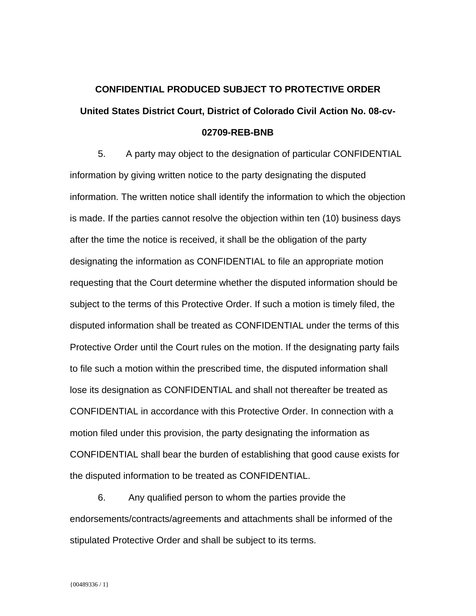## **CONFIDENTIAL PRODUCED SUBJECT TO PROTECTIVE ORDER United States District Court, District of Colorado Civil Action No. 08-cv-02709-REB-BNB**

5. A party may object to the designation of particular CONFIDENTIAL information by giving written notice to the party designating the disputed information. The written notice shall identify the information to which the objection is made. If the parties cannot resolve the objection within ten (10) business days after the time the notice is received, it shall be the obligation of the party designating the information as CONFIDENTIAL to file an appropriate motion requesting that the Court determine whether the disputed information should be subject to the terms of this Protective Order. If such a motion is timely filed, the disputed information shall be treated as CONFIDENTIAL under the terms of this Protective Order until the Court rules on the motion. If the designating party fails to file such a motion within the prescribed time, the disputed information shall lose its designation as CONFIDENTIAL and shall not thereafter be treated as CONFIDENTIAL in accordance with this Protective Order. In connection with a motion filed under this provision, the party designating the information as CONFIDENTIAL shall bear the burden of establishing that good cause exists for the disputed information to be treated as CONFIDENTIAL.

6. Any qualified person to whom the parties provide the endorsements/contracts/agreements and attachments shall be informed of the stipulated Protective Order and shall be subject to its terms.